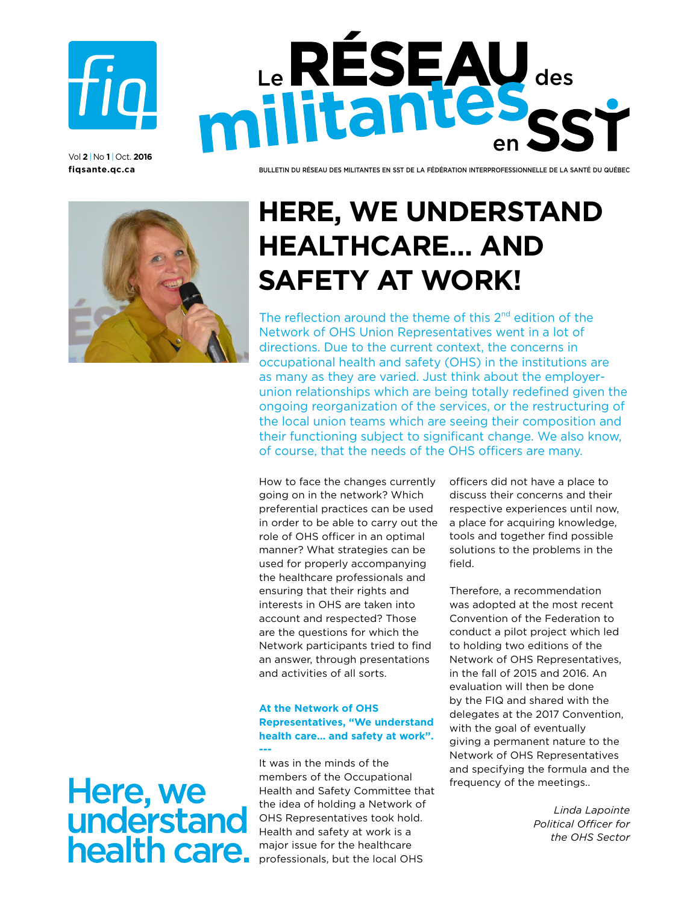



vol **2** |no **1** | oct. **2016 [fiqsante.qc.ca](http://fiqsante.qc.ca)** 

Bulletin du Réseau des militantes en SST de la fédération interprofessionnelle de la santé du québec



## **Here, we understand healthcare… and safety at work!**

The reflection around the theme of this  $2<sup>nd</sup>$  edition of the Network of OHS Union Representatives went in a lot of directions. Due to the current context, the concerns in occupational health and safety (OHS) in the institutions are as many as they are varied. Just think about the employerunion relationships which are being totally redefined given the ongoing reorganization of the services, or the restructuring of the local union teams which are seeing their composition and their functioning subject to significant change. We also know, of course, that the needs of the OHS officers are many.

How to face the changes currently going on in the network? Which preferential practices can be used in order to be able to carry out the role of OHS officer in an optimal manner? What strategies can be used for properly accompanying the healthcare professionals and ensuring that their rights and interests in OHS are taken into account and respected? Those are the questions for which the Network participants tried to find an answer, through presentations and activities of all sorts.

#### **At the Network of OHS Representatives, "We understand health care… and safety at work". ---**

It was in the minds of the members of the Occupational Health and Safety Committee that the idea of holding a Network of OHS Representatives took hold. Health and safety at work is a major issue for the healthcare professionals, but the local OHS

officers did not have a place to discuss their concerns and their respective experiences until now, a place for acquiring knowledge, tools and together find possible solutions to the problems in the field.

Therefore, a recommendation was adopted at the most recent Convention of the Federation to conduct a pilot project which led to holding two editions of the Network of OHS Representatives, in the fall of 2015 and 2016. An evaluation will then be done by the FIQ and shared with the delegates at the 2017 Convention, with the goal of eventually giving a permanent nature to the Network of OHS Representatives and specifying the formula and the frequency of the meetings..

> *Linda Lapointe Political Officer for the OHS Sector*

# Here, we<br>understand health care.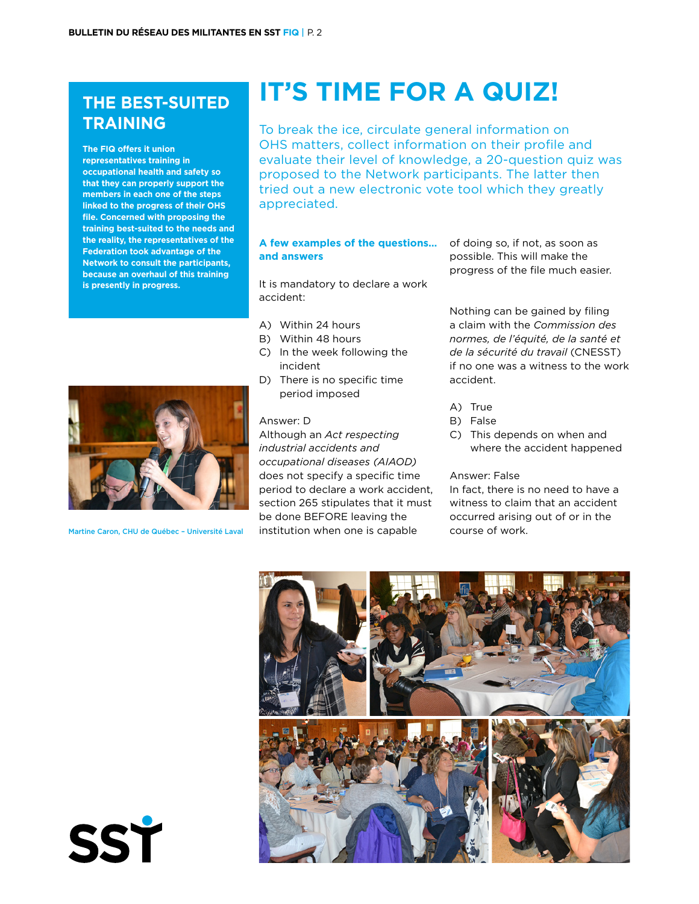### **The best-suited training**

**The FIQ offers it union representatives training in occupational health and safety so that they can properly support the members in each one of the steps linked to the progress of their OHS file. Concerned with proposing the training best-suited to the needs and the reality, the representatives of the Federation took advantage of the Network to consult the participants, because an overhaul of this training is presently in progress.**

### **It's time for a quiz!**

To break the ice, circulate general information on OHS matters, collect information on their profile and evaluate their level of knowledge, a 20-question quiz was proposed to the Network participants. The latter then tried out a new electronic vote tool which they greatly appreciated.

#### **A few examples of the questions… and answers**

It is mandatory to declare a work accident:

- A) Within 24 hours
- B) Within 48 hours
- C) In the week following the incident
- D) There is no specific time period imposed

#### Answer: D

Although an *Act respecting industrial accidents and occupational diseases (AIAOD)*  does not specify a specific time period to declare a work accident, section 265 stipulates that it must be done BEFORE leaving the institution when one is capable

of doing so, if not, as soon as possible. This will make the progress of the file much easier.

Nothing can be gained by filing a claim with the *Commission des normes, de l'équité, de la santé et de la sécurité du travail* (CNESST) if no one was a witness to the work accident.

- A) True
- B) False
- C) This depends on when and where the accident happened

Answer: False

In fact, there is no need to have a witness to claim that an accident occurred arising out of or in the course of work.





Martine Caron, CHU de Québec – Université Laval

**SST**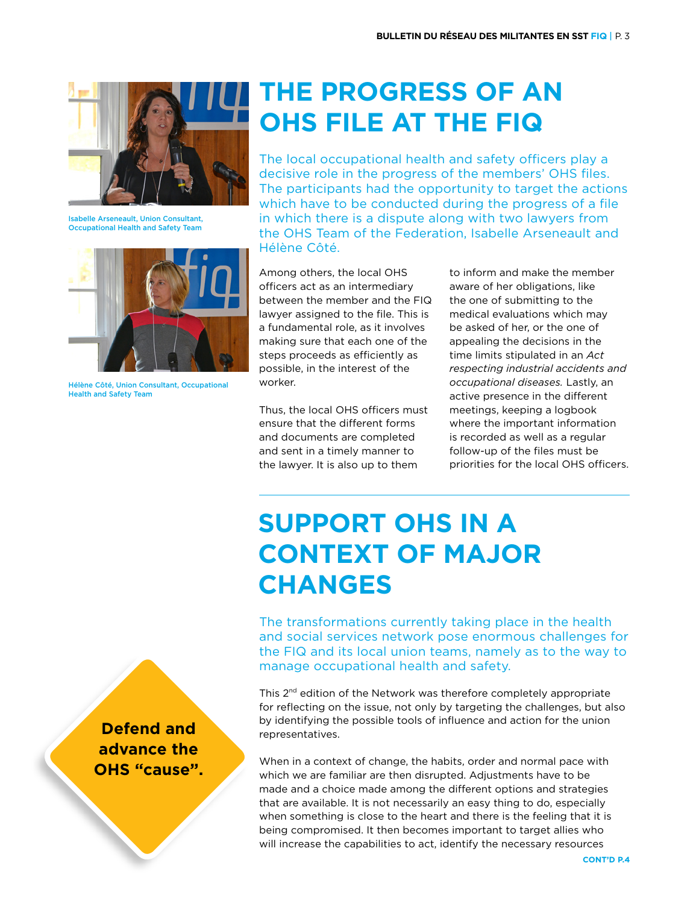

Isabelle Arseneault, Union Consultant, Occupational Health and Safety Team



Hélène Côté, Union Consultant, Occupational Health and Safety Team

### **The progress of an OHS file at the FIQ**

The local occupational health and safety officers play a decisive role in the progress of the members' OHS files. The participants had the opportunity to target the actions which have to be conducted during the progress of a file in which there is a dispute along with two lawyers from the OHS Team of the Federation, Isabelle Arseneault and Hélène Côté.

Among others, the local OHS officers act as an intermediary between the member and the FIQ lawyer assigned to the file. This is a fundamental role, as it involves making sure that each one of the steps proceeds as efficiently as possible, in the interest of the worker.

Thus, the local OHS officers must ensure that the different forms and documents are completed and sent in a timely manner to the lawyer. It is also up to them

to inform and make the member aware of her obligations, like the one of submitting to the medical evaluations which may be asked of her, or the one of appealing the decisions in the time limits stipulated in an *Act respecting industrial accidents and occupational diseases.* Lastly, an active presence in the different meetings, keeping a logbook where the important information is recorded as well as a regular follow-up of the files must be priorities for the local OHS officers.

### **Support OHS in a context of major changes**

The transformations currently taking place in the health and social services network pose enormous challenges for the FIQ and its local union teams, namely as to the way to manage occupational health and safety.

This 2<sup>nd</sup> edition of the Network was therefore completely appropriate for reflecting on the issue, not only by targeting the challenges, but also by identifying the possible tools of influence and action for the union representatives.

When in a context of change, the habits, order and normal pace with which we are familiar are then disrupted. Adjustments have to be made and a choice made among the different options and strategies that are available. It is not necessarily an easy thing to do, especially when something is close to the heart and there is the feeling that it is being compromised. It then becomes important to target allies who will increase the capabilities to act, identify the necessary resources

**Defend and advance the OHS "cause".**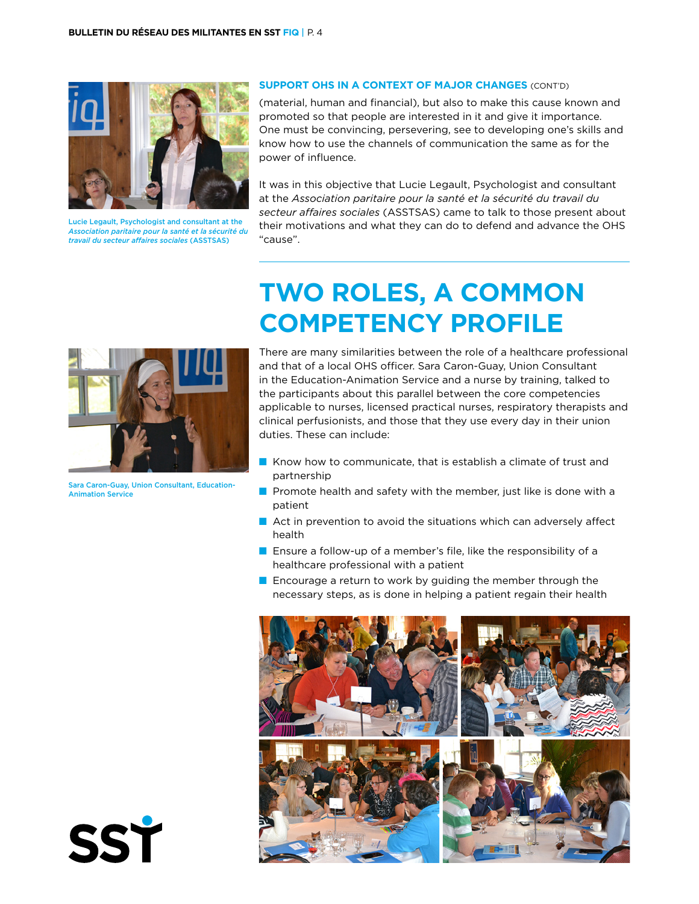

Lucie Legault, Psychologist and consultant at the *Association paritaire pour la santé et la sécurité du travail du secteur affaires sociales* (ASSTSAS)

#### **SUPPORT OHS IN A CONTEXT OF MAJOR CHANGES (CONT'D)**

(material, human and financial), but also to make this cause known and promoted so that people are interested in it and give it importance. One must be convincing, persevering, see to developing one's skills and know how to use the channels of communication the same as for the power of influence.

It was in this objective that Lucie Legault, Psychologist and consultant at the *Association paritaire pour la santé et la sécurité du travail du secteur affaires sociales* (ASSTSAS) came to talk to those present about their motivations and what they can do to defend and advance the OHS "cause".



Sara Caron-Guay, Union Consultant, Education-Animation Service

### **Two roles, a common competency profile**

There are many similarities between the role of a healthcare professional and that of a local OHS officer. Sara Caron-Guay, Union Consultant in the Education-Animation Service and a nurse by training, talked to the participants about this parallel between the core competencies applicable to nurses, licensed practical nurses, respiratory therapists and clinical perfusionists, and those that they use every day in their union duties. These can include:

- $\blacksquare$  Know how to communicate, that is establish a climate of trust and partnership
- $\blacksquare$  Promote health and safety with the member, just like is done with a patient
- $\blacksquare$  Act in prevention to avoid the situations which can adversely affect health
- **n** Ensure a follow-up of a member's file, like the responsibility of a healthcare professional with a patient
- **n** Encourage a return to work by guiding the member through the necessary steps, as is done in helping a patient regain their health